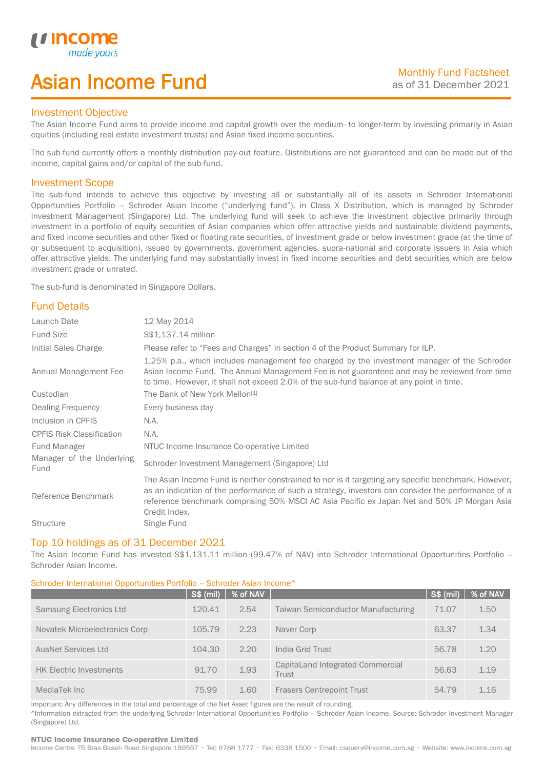# Asian Income Fund

### Investment Objective

*u* incor

I

The Asian Income Fund aims to provide income and capital growth over the medium- to longer-term by investing primarily in Asian equities (including real estate investment trusts) and Asian fixed income securities.

The sub-fund currently offers a monthly distribution pay-out feature. Distributions are not guaranteed and can be made out of the income, capital gains and/or capital of the sub-fund.

### Investment Scope

The sub-fund intends to achieve this objective by investing all or substantially all of its assets in Schroder International Opportunities Portfolio – Schroder Asian Income ("underlying fund"), in Class X Distribution, which is managed by Schroder Investment Management (Singapore) Ltd. The underlying fund will seek to achieve the investment objective primarily through investment in a portfolio of equity securities of Asian companies which offer attractive yields and sustainable dividend payments, and fixed income securities and other fixed or floating rate securities, of investment grade or below investment grade (at the time of or subsequent to acquisition), issued by governments, government agencies, supra-national and corporate issuers in Asia which offer attractive yields. The underlying fund may substantially invest in fixed income securities and debt securities which are below investment grade or unrated.

The sub-fund is denominated in Singapore Dollars.

# Fund Details

| Launch Date                       | 12 May 2014                                                                                                                                                                                                                                                                                                                 |
|-----------------------------------|-----------------------------------------------------------------------------------------------------------------------------------------------------------------------------------------------------------------------------------------------------------------------------------------------------------------------------|
| <b>Fund Size</b>                  | S\$1,137.14 million                                                                                                                                                                                                                                                                                                         |
| Initial Sales Charge              | Please refer to "Fees and Charges" in section 4 of the Product Summary for ILP.                                                                                                                                                                                                                                             |
| Annual Management Fee             | 1.25% p.a., which includes management fee charged by the investment manager of the Schroder<br>Asian Income Fund. The Annual Management Fee is not guaranteed and may be reviewed from time<br>to time. However, it shall not exceed 2.0% of the sub-fund balance at any point in time.                                     |
| Custodian                         | The Bank of New York Mellon <sup>[1]</sup>                                                                                                                                                                                                                                                                                  |
| Dealing Frequency                 | Every business day                                                                                                                                                                                                                                                                                                          |
| Inclusion in CPFIS                | N.A.                                                                                                                                                                                                                                                                                                                        |
| <b>CPFIS Risk Classification</b>  | N.A.                                                                                                                                                                                                                                                                                                                        |
| Fund Manager                      | NTUC Income Insurance Co-operative Limited                                                                                                                                                                                                                                                                                  |
| Manager of the Underlying<br>Fund | Schroder Investment Management (Singapore) Ltd                                                                                                                                                                                                                                                                              |
| Reference Benchmark               | The Asian Income Fund is neither constrained to nor is it targeting any specific benchmark. However,<br>as an indication of the performance of such a strategy, investors can consider the performance of a<br>reference benchmark comprising 50% MSCI AC Asia Pacific ex Japan Net and 50% JP Morgan Asia<br>Credit Index. |
| <b>Structure</b>                  | Single Fund                                                                                                                                                                                                                                                                                                                 |

### Top 10 holdings as of 31 December 2021

The Asian Income Fund has invested S\$1,131.11 million (99.47% of NAV) into Schroder International Opportunities Portfolio -Schroder Asian Income.

### Schroder International Opportunities Portfolio – Schroder Asian Income^

|                                | <b>S\$ (mil)</b> | % of NAV |                                           | <b>S\$ (mil)</b> | % of NAV |
|--------------------------------|------------------|----------|-------------------------------------------|------------------|----------|
| <b>Samsung Electronics Ltd</b> | 120.41           | 2.54     | <b>Taiwan Semiconductor Manufacturing</b> | 71.07            | 1.50     |
| Novatek Microelectronics Corp  | 105.79           | 2.23     | Naver Corp                                | 63.37            | 1.34     |
| AusNet Services Ltd            | 104.30           | 2.20     | India Grid Trust                          | 56.78            | 1.20     |
| <b>HK Electric Investments</b> | 91.70            | 1.93     | CapitaLand Integrated Commercial<br>Trust | 56.63            | 1.19     |
| MediaTek Inc                   | 75.99            | 1.60     | <b>Frasers Centrepoint Trust</b>          | 54.79            | 1.16     |

Important: Any differences in the total and percentage of the Net Asset figures are the result of rounding. ^Information extracted from the underlying Schroder International Opportunities Portfolio – Schroder Asian Income. Source: Schroder Investment Manager (Singapore) Ltd.

### NTUC Income Insurance Co-operative Limited

Income Centre 75 Bras Basah Road Singapore 189557 · Tel: 6788 1777 · Fax: 6338 1500 · Email: csquery@income.com.sg · Website: www.income.com.sg